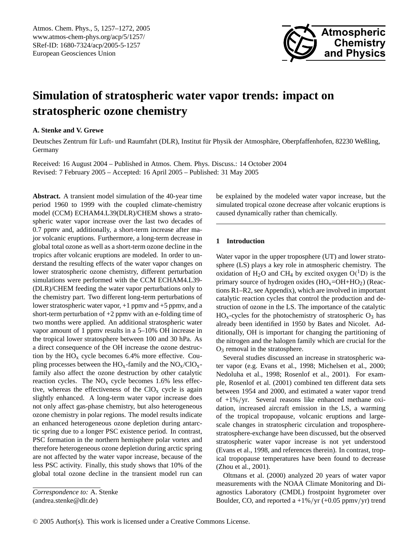

# **Simulation of stratospheric water vapor trends: impact on stratospheric ozone chemistry**

# **A. Stenke and V. Grewe**

Deutsches Zentrum für Luft- und Raumfahrt (DLR), Institut für Physik der Atmosphäre, Oberpfaffenhofen, 82230 Weßling, Germany

Received: 16 August 2004 – Published in Atmos. Chem. Phys. Discuss.: 14 October 2004 Revised: 7 February 2005 – Accepted: 16 April 2005 – Published: 31 May 2005

**Abstract.** A transient model simulation of the 40-year time period 1960 to 1999 with the coupled climate-chemistry model (CCM) ECHAM4.L39(DLR)/CHEM shows a stratospheric water vapor increase over the last two decades of 0.7 ppmv and, additionally, a short-term increase after major volcanic eruptions. Furthermore, a long-term decrease in global total ozone as well as a short-term ozone decline in the tropics after volcanic eruptions are modeled. In order to understand the resulting effects of the water vapor changes on lower stratospheric ozone chemistry, different perturbation simulations were performed with the CCM ECHAM4.L39- (DLR)/CHEM feeding the water vapor perturbations only to the chemistry part. Two different long-term perturbations of lower stratospheric water vapor, +1 ppmv and +5 ppmv, and a short-term perturbation of  $+2$  ppmv with an e-folding time of two months were applied. An additional stratospheric water vapor amount of 1 ppmv results in a 5–10% OH increase in the tropical lower stratosphere between 100 and 30 hPa. As a direct consequence of the OH increase the ozone destruction by the  $HO_x$  cycle becomes 6.4% more effective. Coupling processes between the  $HO_x$ -family and the  $NO_x/ClO_x$ family also affect the ozone destruction by other catalytic reaction cycles. The  $NO<sub>x</sub>$  cycle becomes 1.6% less effective, whereas the effectiveness of the  $ClO<sub>x</sub>$  cycle is again slightly enhanced. A long-term water vapor increase does not only affect gas-phase chemistry, but also heterogeneous ozone chemistry in polar regions. The model results indicate an enhanced heterogeneous ozone depletion during antarctic spring due to a longer PSC existence period. In contrast, PSC formation in the northern hemisphere polar vortex and therefore heterogeneous ozone depletion during arctic spring are not affected by the water vapor increase, because of the less PSC activity. Finally, this study shows that 10% of the global total ozone decline in the transient model run can

<span id="page-0-0"></span>*Correspondence to:* A. Stenke (andrea.stenke@dlr.de)

be explained by the modeled water vapor increase, but the simulated tropical ozone decrease after volcanic eruptions is caused dynamically rather than chemically.

# **1 Introduction**

Water vapor in the upper troposphere (UT) and lower stratosphere (LS) plays a key role in atmospheric chemistry. The oxidation of H<sub>2</sub>O and CH<sub>4</sub> by excited oxygen  $O(^{1}D)$  is the primary source of hydrogen oxides  $(HO_x=OH+HO_2)$  (Reactions [R1–R2,](#page-13-0) see Appendix), which are involved in important catalytic reaction cycles that control the production and destruction of ozone in the LS. The importance of the catalytic  $HO<sub>x</sub>$ -cycles for the photochemistry of stratospheric  $O<sub>3</sub>$  has already been identified in 1950 by [Bates and Nicolet.](#page-14-0) Additionally, OH is important for changing the partitioning of the nitrogen and the halogen family which are crucial for the  $O<sub>3</sub>$  removal in the stratosphere.

Several studies discussed an increase in stratospheric water vapor (e.g. [Evans et al.,](#page-14-1) [1998;](#page-14-1) [Michelsen et al.,](#page-15-0) [2000;](#page-15-0) [Nedoluha et al.,](#page-15-1) [1998;](#page-15-1) [Rosenlof et al.,](#page-15-2) [2001\)](#page-15-2). For example, [Rosenlof et al.](#page-15-2) [\(2001\)](#page-15-2) combined ten different data sets between 1954 and 2000, and estimated a water vapor trend of +1%/yr. Several reasons like enhanced methane oxidation, increased aircraft emission in the LS, a warming of the tropical tropopause, volcanic eruptions and largescale changes in stratospheric circulation and tropospherestratosphere-exchange have been discussed, but the observed stratospheric water vapor increase is not yet understood [\(Evans et al.,](#page-14-1) [1998,](#page-14-1) and references therein). In contrast, tropical tropopause temperatures have been found to decrease [\(Zhou et al.,](#page-15-3) [2001\)](#page-15-3).

[Oltmans et al.](#page-15-4) [\(2000\)](#page-15-4) analyzed 20 years of water vapor measurements with the NOAA Climate Monitoring and Diagnostics Laboratory (CMDL) frostpoint hygrometer over Boulder, CO, and reported a  $+1\%$ /yr (+0.05 ppmv/yr) trend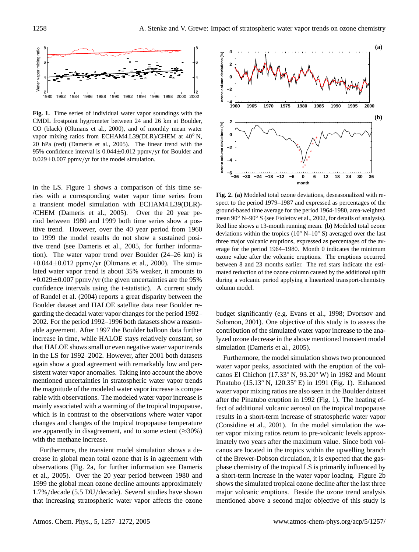

<span id="page-1-0"></span>**Fig. 1.** Time series of individual water vapor soundings with the CMDL frostpoint hygrometer between 24 and 26 km at Boulder, CO (black) [\(Oltmans et al.,](#page-15-4) [2000\)](#page-15-4), and of monthly mean water vapor mixing ratios from ECHAM4.L39(DLR)/CHEM at 40° N, 20 hPa (red) [\(Dameris et al.,](#page-14-2) [2005\)](#page-14-2). The linear trend with the 95% confidence interval is 0.044±0.012 ppmv/yr for Boulder and 0.029±0.007 ppmv/yr for the model simulation.

in the LS. Figure [1](#page-1-0) shows a comparison of this time series with a corresponding water vapor time series from a transient model simulation with ECHAM4.L39(DLR)- /CHEM [\(Dameris et al.,](#page-14-2) [2005\)](#page-14-2). Over the 20 year period between 1980 and 1999 both time series show a positive trend. However, over the 40 year period from 1960 to 1999 the model results do not show a sustained positive trend (see [Dameris et al.,](#page-14-2) [2005,](#page-14-2) for further information). The water vapor trend over Boulder (24–26 km) is  $+0.044\pm0.012$  ppmv/yr [\(Oltmans et al.,](#page-15-4) [2000\)](#page-15-4). The simulated water vapor trend is about 35% weaker, it amounts to  $+0.029\pm0.007$  ppmv/yr (the given uncertainties are the 95% confidence intervals using the t-statistic). A current study of [Randel et al.](#page-15-5) [\(2004\)](#page-15-5) reports a great disparity between the Boulder dataset and HALOE satellite data near Boulder regarding the decadal water vapor changes for the period 1992– 2002. For the period 1992–1996 both datasets show a reasonable agreement. After 1997 the Boulder balloon data further increase in time, while HALOE stays relatively constant, so that HALOE shows small or even negative water vapor trends in the LS for 1992–2002. However, after 2001 both datasets again show a good agreement with remarkably low and persistent water vapor anomalies. Taking into account the above mentioned uncertainties in stratospheric water vapor trends the magnitude of the modeled water vapor increase is comparable with observations. The modeled water vapor increase is mainly associated with a warming of the tropical tropopause, which is in contrast to the observations where water vapor changes and changes of the tropical tropopause temperature are apparently in disagreement, and to some extent  $(\approx 30\%)$ with the methane increase. <sup>6</sup> from text weiver one can take the same of the same of the same signal dependent on the same of the same of the same of the same of the same of the same of the same of the same of the same of the same of the same of th

Furthermore, the transient model simulation shows a decrease in global mean total ozone that is in agreement with observations (Fig. [2a](#page-1-1), for further information see Dameris et al., 2005). Over the 20 year period between 1980 and 1999 the global mean ozone decline amounts approximately 1.7%/decade (5.5 DU/decade). Several studies have shown



<span id="page-1-1"></span>**Fig. 2. (a)** Modeled total ozone deviations, deseasonalized with respect to the period 1979–1987 and expressed as percentages of the ground-based time average for the period 1964-1980, area-weighted mean 90◦ N–90◦ S (see [Fioletov et al.,](#page-14-3) [2002,](#page-14-3) for details of analysis). Red line shows a 13-month running mean. **(b)** Modeled total ozone deviations within the tropics ( $10°$  N– $10°$  S) averaged over the last three major volcanic eruptions, expressed as percentages of the average for the period 1964–1980. Month 0 indicates the minimum ozone value after the volcanic eruptions. The eruptions occurred between 8 and 23 months earlier. The red stars indicate the estimated reduction of the ozone column caused by the additional uplift during a volcanic period applying a linearized transport-chemistry column model.

budget significantly (e.g. [Evans et al.,](#page-14-1) [1998;](#page-14-1) [Dvortsov and](#page-14-4) [Solomon,](#page-14-4) [2001\)](#page-14-4). One objective of this study is to assess the contribution of the simulated water vapor increase to the analyzed ozone decrease in the above mentioned transient model simulation [\(Dameris et al.,](#page-14-2) [2005\)](#page-14-2).

Furthermore, the model simulation shows two pronounced water vapor peaks, associated with the eruption of the volcanos El Chichon (17.33◦ N, 93.20◦ W) in 1982 and Mount Pinatubo (15.13◦ N, 120.35◦ E) in 1991 (Fig. [1\)](#page-1-0). Enhanced water vapor mixing ratios are also seen in the Boulder dataset after the Pinatubo eruption in 1992 (Fig. [1\)](#page-1-0). The heating effect of additional volcanic aerosol on the tropical tropopause results in a short-term increase of stratospheric water vapor [\(Considine et al.,](#page-14-5) [2001\)](#page-14-5). In the model simulation the water vapor mixing ratios return to pre-volcanic levels approximately two years after the maximum value. Since both volcanos are located in the tropics within the upwelling branch of the Brewer-Dobson circulation, it is expected that the gasphase chemistry of the tropical LS is primarily influenced by a short-term increase in the water vapor loading. Figure [2b](#page-1-1) shows the simulated tropical ozone decline after the last three major volcanic eruptions. Beside the ozone trend analysis mentioned above a second major objective of this study is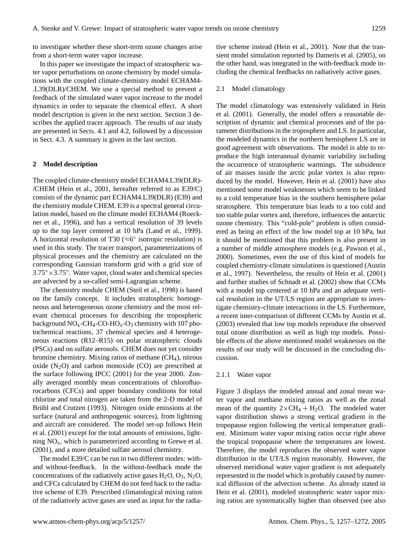to investigate whether these short-term ozone changes arise from a short-term water vapor increase.

In this paper we investigate the impact of stratospheric water vapor perturbations on ozone chemistry by model simulations with the coupled climate-chemistry model ECHAM4- .L39(DLR)/CHEM. We use a special method to prevent a feedback of the simulated water vapor increase to the model dynamics in order to separate the chemical effect. A short model description is given in the next section. Section [3](#page-4-0) describes the applied tracer approach. The results of our study are presented in Sects. [4.1](#page-6-0) and [4.2,](#page-8-0) followed by a discussion in Sect. [4.3.](#page-11-0) A summary is given in the last section.

## **2 Model description**

The coupled climate-chemistry model ECHAM4.L39(DLR)- /CHEM [\(Hein et al.,](#page-14-6) [2001,](#page-14-6) hereafter referred to as E39/C) consists of the dynamic part ECHAM4.L39(DLR) (E39) and the chemistry module CHEM. E39 is a spectral general circulation model, based on the climate model ECHAM4 [\(Roeck](#page-15-6)[ner et al.,](#page-15-6) [1996\)](#page-15-6), and has a vertical resolution of 39 levels up to the top layer centered at 10 hPa [\(Land et al.,](#page-14-7) [1999\)](#page-14-7). A horizontal resolution of T30 ( $\approx 6^{\circ}$  isotropic resolution) is used in this study. The tracer transport, parameterizations of physical processes and the chemistry are calculated on the corresponding Gaussian transform grid with a grid size of 3.75◦×3.75◦ . Water vapor, cloud water and chemical species are advected by a so-called semi-Lagrangian scheme.

The chemistry module CHEM [\(Steil et al.,](#page-15-7) [1998\)](#page-15-7) is based on the family concept. It includes stratospheric homogeneous and heterogeneous ozone chemistry and the most relevant chemical processes for describing the tropospheric background  $NO_x$ -CH<sub>4</sub>-CO-HO<sub>x</sub>-O<sub>3</sub> chemistry with 107 photochemical reactions, 37 chemical species and 4 heterogeneous reactions [\(R12–R15\)](#page-13-0) on polar stratospheric clouds (PSCs) and on sulfate aerosols. CHEM does not yet consider bromine chemistry. Mixing ratios of methane  $(CH<sub>4</sub>)$ , nitrous oxide  $(N_2O)$  and carbon monoxide  $(CO)$  are prescribed at the surface following [IPCC](#page-14-8) [\(2001\)](#page-14-8) for the year 2000. Zonally averaged monthly mean concentrations of chlorofluorocarbons (CFCs) and upper boundary conditions for total chlorine and total nitrogen are taken from the 2-D model of Brühl and Crutzen [\(1993\)](#page-14-9). Nitrogen oxide emissions at the surface (natural and anthropogenic sources), from lightning and aircraft are considered. The model set-up follows [Hein](#page-14-6) [et al.](#page-14-6) [\(2001\)](#page-14-6) except for the total amounts of emissions, lightning  $NO<sub>x</sub>$ , which is parameterized according to [Grewe et al.](#page-14-10) [\(2001\)](#page-14-10), and a more detailed sulfate aerosol chemistry.

The model E39/C can be run in two different modes: withand without-feedback. In the without-feedback mode the concentrations of the radiatively active gases  $H_2O$ ,  $O_3$ ,  $N_2O$ , and CFCs calculated by CHEM do not feed back to the radiative scheme of E39. Prescribed climatological mixing ratios of the radiatively active gases are used as input for the radiative scheme instead [\(Hein et al.,](#page-14-6) [2001\)](#page-14-6). Note that the transient model simulation reported by [Dameris et al.](#page-14-2) [\(2005\)](#page-14-2), on the other hand, was integrated in the with-feedback mode including the chemical feedbacks on radiatively active gases.

## 2.1 Model climatology

The model climatology was extensively validated in [Hein](#page-14-6) [et al.](#page-14-6) [\(2001\)](#page-14-6). Generally, the model offers a reasonable description of dynamic and chemical processes and of the parameter distributions in the troposphere and LS. In particular, the modeled dynamics in the northern hemisphere LS are in good agreement with observations. The model is able to reproduce the high interannual dynamic variability including the occurrence of stratospheric warmings. The subsidence of air masses inside the arctic polar vortex is also reproduced by the model. However, [Hein et al.](#page-14-6) [\(2001\)](#page-14-6) have also mentioned some model weaknesses which seem to be linked to a cold temperature bias in the southern hemisphere polar stratosphere. This temperature bias leads to a too cold and too stable polar vortex and, therefore, influences the antarctic ozone chemistry. This "cold-pole" problem is often considered as being an effect of the low model top at 10 hPa, but it should be mentioned that this problem is also present in a number of middle atmosphere models (e.g. [Pawson et al.,](#page-15-8) [2000\)](#page-15-8). Sometimes, even the use of this kind of models for coupled chemistry-climate simulations is questioned [\(Austin](#page-14-11) [et al.,](#page-14-11) [1997\)](#page-14-11). Nevertheless, the results of [Hein et al.](#page-14-6) [\(2001\)](#page-14-6) and further studies of [Schnadt et al.](#page-15-9) [\(2002\)](#page-15-9) show that CCMs with a model top centered at 10 hPa and an adequate vertical resolution in the UT/LS region are appropriate to investigate chemistry-climate interactions in the LS. Furthermore, a recent inter-comparison of different CCMs by [Austin et al.](#page-14-12) [\(2003\)](#page-14-12) revealed that low top models reproduce the observed total ozone distribution as well as high top models. Possible effects of the above mentioned model weaknesses on the results of our study will be discussed in the concluding discussion.

#### 2.1.1 Water vapor

Figure [3](#page-3-0) displays the modeled annual and zonal mean water vapor and methane mixing ratios as well as the zonal mean of the quantity  $2 \times CH_4 + H_2O$ . The modeled water vapor distribution shows a strong vertical gradient in the tropopause region following the vertical temperature gradient. Minimum water vapor mixing ratios occur right above the tropical tropopause where the temperatures are lowest. Therefore, the model reproduces the observed water vapor distribution in the UT/LS region reasonably. However, the observed meridional water vapor gradient is not adequately represented in the model which is probably caused by numerical diffusion of the advection scheme. As already stated in [Hein et al.](#page-14-6) [\(2001\)](#page-14-6), modeled stratospheric water vapor mixing ratios are systematically higher than observed (see also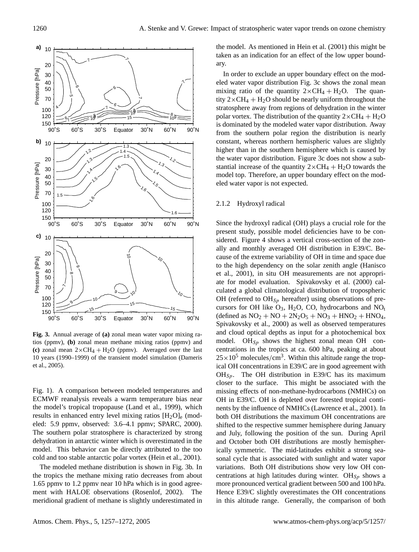

<span id="page-3-0"></span>**Fig. 3.** Annual average of **(a)** zonal mean water vapor mixing ratios (ppmv), **(b)** zonal mean methane mixing ratios (ppmv) and (c) zonal mean  $2 \times CH_4 + H_2O$  (ppmv). Averaged over the last 10 years (1990–1999) of the transient model simulation [\(Dameris](#page-14-2) [et al.,](#page-14-2) [2005\)](#page-14-2).

Fig. [1\)](#page-1-0). A comparison between modeled temperatures and ECMWF reanalysis reveals a warm temperature bias near the model's tropical tropopause [\(Land et al.,](#page-14-7) [1999\)](#page-14-7), which results in enhanced entry level mixing ratios  $[H_2O]_e$  (modeled: 5.9 ppmv, observed: 3.6–4.1 ppmv; [SPARC,](#page-15-10) [2000\)](#page-15-10). The southern polar stratosphere is characterized by strong dehydration in antarctic winter which is overestimated in the model. This behavior can be directly attributed to the too cold and too stable antarctic polar vortex [\(Hein et al.,](#page-14-6) [2001\)](#page-14-6).

The modeled methane distribution is shown in Fig. [3b](#page-3-0). In the tropics the methane mixing ratio decreases from about 1.65 ppmv to 1.2 ppmv near 10 hPa which is in good agreement with HALOE observations [\(Rosenlof,](#page-15-11) [2002\)](#page-15-11). The meridional gradient of methane is slightly underestimated in the model. As mentioned in [Hein et al.](#page-14-6) [\(2001\)](#page-14-6) this might be taken as an indication for an effect of the low upper boundary.

In order to exclude an upper boundary effect on the modeled water vapor distribution Fig. [3c](#page-3-0) shows the zonal mean mixing ratio of the quantity  $2 \times CH_4 + H_2O$ . The quantity  $2 \times CH_4 + H_2O$  should be nearly uniform throughout the stratosphere away from regions of dehydration in the winter polar vortex. The distribution of the quantity  $2 \times CH_4 + H_2O$ is dominated by the modeled water vapor distribution. Away from the southern polar region the distribution is nearly constant, whereas northern hemispheric values are slightly higher than in the southern hemisphere which is caused by the water vapor distribution. Figure [3c](#page-3-0) does not show a substantial increase of the quantity  $2 \times CH_4 + H_2O$  towards the model top. Therefore, an upper boundary effect on the modeled water vapor is not expected.

#### 2.1.2 Hydroxyl radical

Since the hydroxyl radical (OH) plays a crucial role for the present study, possible model deficiencies have to be considered. Figure [4](#page-4-1) shows a vertical cross-section of the zonally and monthly averaged OH distribution in E39/C. Because of the extreme variability of OH in time and space due to the high dependency on the solar zenith angle [\(Hanisco](#page-14-13) [et al.,](#page-14-13) [2001\)](#page-14-13), in situ OH measurements are not appropriate for model evaluation. [Spivakovsky et al.](#page-15-12) [\(2000\)](#page-15-12) calculated a global climatological distribution of tropospheric OH (referred to  $OH_{Sp}$  hereafter) using observations of precursors for OH like  $O_3$ , H<sub>2</sub>O, CO, hydrocarbons and NO<sub>t</sub> (defined as  $NO_2 + NO + 2N_2O_5 + NO_3 + HNO_2 + HNO_4$ , [Spivakovsky et al.,](#page-15-12) [2000\)](#page-15-12) as well as observed temperatures and cloud optical depths as input for a photochemical box model.  $OH_{Sp}$  shows the highest zonal mean OH concentrations in the tropics at ca. 600 hPa, peaking at about  $25 \times 10^5$  molecules/cm<sup>3</sup>. Within this altitude range the tropical OH concentrations in E39/C are in good agreement with OH<sub>Sp</sub>. The OH distribution in E39/C has its maximum closer to the surface. This might be associated with the missing effects of non-methane-hydrocarbons (NMHCs) on OH in E39/C. OH is depleted over forested tropical continents by the influence of NMHCs [\(Lawrence et al.,](#page-14-14) [2001\)](#page-14-14). In both OH distributions the maximum OH concentrations are shifted to the respective summer hemisphere during January and July, following the position of the sun. During April and October both OH distributions are mostly hemispherically symmetric. The mid-latitudes exhibit a strong seasonal cycle that is associated with sunlight and water vapor variations. Both OH distributions show very low OH concentrations at high latitudes during winter. OH $_{Sp}$  shows a more pronounced vertical gradient between 500 and 100 hPa. Hence E39/C slightly overestimates the OH concentrations in this altitude range. Generally, the comparison of both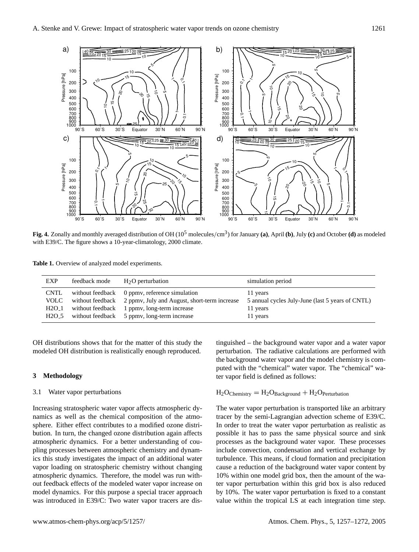

<span id="page-4-1"></span>**Fig. 4.** Zonally and monthly averaged distribution of OH (10<sup>5</sup> molecules/cm<sup>3</sup> ) for January **(a)**, April **(b)**, July **(c)** and October **(d)** as modeled with E39/C. The figure shows a 10-year-climatology, 2000 climate.

**Table 1.** Overview of analyzed model experiments.

<span id="page-4-2"></span>

| EXP         | feedback mode | $H2O$ perturbation                                            | simulation period                                |
|-------------|---------------|---------------------------------------------------------------|--------------------------------------------------|
| <b>CNTL</b> |               | without feedback 0 ppmy, reference simulation                 | 11 years                                         |
| VOLC        |               | without feedback 2 ppmy, July and August, short-term increase | 5 annual cycles July-June (last 5 years of CNTL) |
| $H2O-1$     |               | without feedback 1 ppmv, long-term increase                   | 11 years                                         |
| $H2O-5$     |               | without feedback 5 ppmy, long-term increase                   | 11 years                                         |

OH distributions shows that for the matter of this study the modeled OH distribution is realistically enough reproduced.

# <span id="page-4-0"></span>**3 Methodology**

#### 3.1 Water vapor perturbations

Increasing stratospheric water vapor affects atmospheric dynamics as well as the chemical composition of the atmosphere. Either effect contributes to a modified ozone distribution. In turn, the changed ozone distribution again affects atmospheric dynamics. For a better understanding of coupling processes between atmospheric chemistry and dynamics this study investigates the impact of an additional water vapor loading on stratospheric chemistry without changing atmospheric dynamics. Therefore, the model was run without feedback effects of the modeled water vapor increase on model dynamics. For this purpose a special tracer approach was introduced in E39/C: Two water vapor tracers are distinguished – the background water vapor and a water vapor perturbation. The radiative calculations are performed with the background water vapor and the model chemistry is computed with the "chemical" water vapor. The "chemical" water vapor field is defined as follows:

# $H_2O<sub>Chemistry</sub> = H_2O<sub>Background</sub> + H_2O<sub>Perturbation</sub>$

The water vapor perturbation is transported like an arbitrary tracer by the semi-Lagrangian advection scheme of E39/C. In order to treat the water vapor perturbation as realistic as possible it has to pass the same physical source and sink processes as the background water vapor. These processes include convection, condensation and vertical exchange by turbulence. This means, if cloud formation and precipitation cause a reduction of the background water vapor content by 10% within one model grid box, then the amount of the water vapor perturbation within this grid box is also reduced by 10%. The water vapor perturbation is fixed to a constant value within the tropical LS at each integration time step.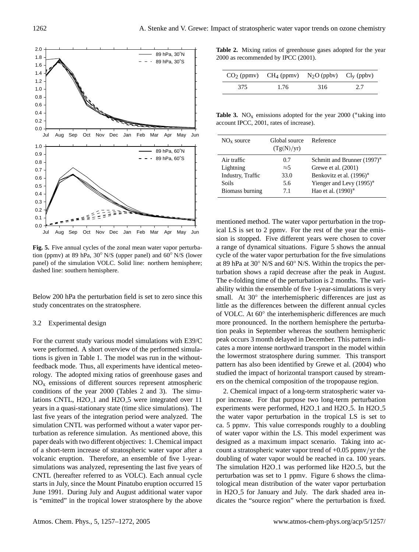

<span id="page-5-2"></span>**Fig. 5.** Five annual cycles of the zonal mean water vapor perturbation (ppmv) at 89 hPa, 30◦ N/S (upper panel) and 60◦ N/S (lower panel) of the simulation VOLC. Solid line: northern hemisphere; dashed line: southern hemisphere.

Below 200 hPa the perturbation field is set to zero since this study concentrates on the stratosphere.

## 3.2 Experimental design

For the current study various model simulations with E39/C were performed. A short overview of the performed simulations is given in Table [1.](#page-4-2) The model was run in the withoutfeedback mode. Thus, all experiments have identical meteorology. The adopted mixing ratios of greenhouse gases and NO<sup>x</sup> emissions of different sources represent atmospheric conditions of the year 2000 (Tables [2](#page-5-0) and [3\)](#page-5-1). The simulations CNTL, H2O<sub>-1</sub> and H2O<sub>-5</sub> were integrated over 11 years in a quasi-stationary state (time slice simulations). The last five years of the integration period were analyzed. The simulation CNTL was performed without a water vapor perturbation as reference simulation. As mentioned above, this paper deals with two different objectives: 1. Chemical impact of a short-term increase of stratospheric water vapor after a volcanic eruption. Therefore, an ensemble of five 1-yearsimulations was analyzed, representing the last five years of CNTL (hereafter referred to as VOLC). Each annual cycle starts in July, since the Mount Pinatubo eruption occurred 15 June 1991. During July and August additional water vapor is "emitted" in the tropical lower stratosphere by the above

<span id="page-5-0"></span>**Table 2.** Mixing ratios of greenhouse gases adopted for the year 2000 as recommended by [IPCC](#page-14-8) [\(2001\)](#page-14-8).

|     | $CO_2$ (ppmv) $CH_4$ (ppmv) $N_2O$ (ppbv) $Cl_V$ (ppbv) |  |     |  |  |
|-----|---------------------------------------------------------|--|-----|--|--|
| 375 | 1.76                                                    |  | 2.7 |  |  |

<span id="page-5-1"></span>**Table 3.** NO<sub>x</sub> emissions adopted for the year 2000 (\*taking into account [IPCC,](#page-14-8) [2001,](#page-14-8) rates of increase).

| $NOx$ source      | Global source<br>(Tg(N)/yr) | Reference                   |
|-------------------|-----------------------------|-----------------------------|
| Air traffic       | 0.7                         | Schmitt and Brunner (1997)* |
| Lightning         | $\approx$ 5                 | Grewe et al. (2001)         |
| Industry, Traffic | 33.0                        | Benkovitz et al. (1996)*    |
| Soils             | 5.6                         | Yienger and Levy $(1995)^*$ |
| Biomass burning   | 7.1                         | Hao et al. (1990)*          |

mentioned method. The water vapor perturbation in the tropical LS is set to 2 ppmv. For the rest of the year the emission is stopped. Five different years were chosen to cover a range of dynamical situations. Figure [5](#page-5-2) shows the annual cycle of the water vapor perturbation for the five simulations at 89 hPa at 30◦ N/S and 60◦ N/S. Within the tropics the perturbation shows a rapid decrease after the peak in August. The e-folding time of the perturbation is 2 months. The variability within the ensemble of five 1-year-simulations is very small. At 30° the interhemispheric differences are just as little as the differences between the different annual cycles of VOLC. At 60° the interhemispheric differences are much more pronounced. In the northern hemisphere the perturbation peaks in September whereas the southern hemispheric peak occurs 3 month delayed in December. This pattern indicates a more intense northward transport in the model within the lowermost stratosphere during summer. This transport pattern has also been identified by [Grewe et al.](#page-14-17) [\(2004\)](#page-14-17) who studied the impact of horizontal transport caused by streamers on the chemical composition of the tropopause region.

2. Chemical impact of a long-term stratospheric water vapor increase. For that purpose two long-term perturbation experiments were performed, H2O<sub>-1</sub> and H2O<sub>-5</sub>. In H2O<sub>-5</sub> the water vapor perturbation in the tropical LS is set to ca. 5 ppmv. This value corresponds roughly to a doubling of water vapor within the LS. This model experiment was designed as a maximum impact scenario. Taking into account a stratospheric water vapor trend of +0.05 ppmv/yr the doubling of water vapor would be reached in ca. 100 years. The simulation H2O<sub>-1</sub> was performed like H2O<sub>-5</sub>, but the perturbation was set to 1 ppmv. Figure [6](#page-6-1) shows the climatological mean distribution of the water vapor perturbation in H2O 5 for January and July. The dark shaded area indicates the "source region" where the perturbation is fixed.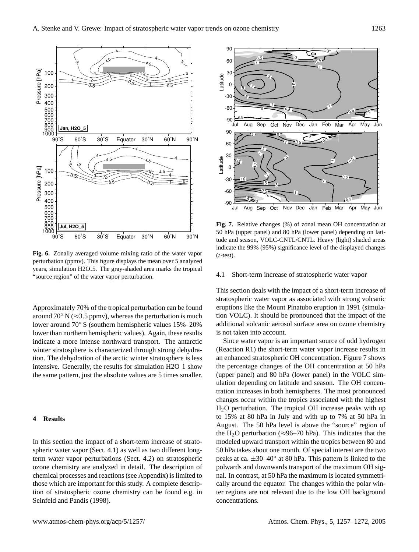

<span id="page-6-1"></span>**Fig. 6.** Zonally averaged volume mixing ratio of the water vapor perturbation (ppmv). This figure displays the mean over 5 analyzed years, simulation H2O<sub>-5</sub>. The gray-shaded area marks the tropical "source region" of the water vapor perturbation.

Approximately 70% of the tropical perturbation can be found around 70 $\degree$  N ( $\approx$ 3.5 ppmv), whereas the perturbation is much lower around 70◦ S (southern hemispheric values 15%–20% lower than northern hemispheric values). Again, these results indicate a more intense northward transport. The antarctic winter stratosphere is characterized through strong dehydration. The dehydration of the arctic winter stratosphere is less intensive. Generally, the results for simulation H2O<sub>-1</sub> show the same pattern, just the absolute values are 5 times smaller.

## **4 Results**

In this section the impact of a short-term increase of stratospheric water vapor (Sect. [4.1\)](#page-6-0) as well as two different longterm water vapor perturbations (Sect. [4.2\)](#page-8-0) on stratospheric ozone chemistry are analyzed in detail. The description of chemical processes and reactions (see Appendix) is limited to those which are important for this study. A complete description of stratospheric ozone chemistry can be found e.g. in [Seinfeld and Pandis](#page-15-15) [\(1998\)](#page-15-15).



<span id="page-6-2"></span>**Fig. 7.** Relative changes (%) of zonal mean OH concentration at 50 hPa (upper panel) and 80 hPa (lower panel) depending on latitude and season, VOLC-CNTL/CNTL. Heavy (light) shaded areas indicate the 99% (95%) significance level of the displayed changes  $(t$ -test).

#### <span id="page-6-0"></span>4.1 Short-term increase of stratospheric water vapor

This section deals with the impact of a short-term increase of stratospheric water vapor as associated with strong volcanic eruptions like the Mount Pinatubo eruption in 1991 (simulation VOLC). It should be pronounced that the impact of the additional volcanic aerosol surface area on ozone chemistry is not taken into account.

Since water vapor is an important source of odd hydrogen (Reaction [R1\)](#page-13-0) the short-term water vapor increase results in an enhanced stratospheric OH concentration. Figure [7](#page-6-2) shows the percentage changes of the OH concentration at 50 hPa (upper panel) and 80 hPa (lower panel) in the VOLC simulation depending on latitude and season. The OH concentration increases in both hemispheres. The most pronounced changes occur within the tropics associated with the highest H2O perturbation. The tropical OH increase peaks with up to 15% at 80 hPa in July and with up to 7% at 50 hPa in August. The 50 hPa level is above the "source" region of the H<sub>2</sub>O perturbation ( $\approx$ 96–70 hPa). This indicates that the modeled upward transport within the tropics between 80 and 50 hPa takes about one month. Of special interest are the two peaks at ca.  $\pm 30 - 40^\circ$  at 80 hPa. This pattern is linked to the polwards and downwards transport of the maximum OH signal. In contrast, at 50 hPa the maximum is located symmetrically around the equator. The changes within the polar winter regions are not relevant due to the low OH background concentrations.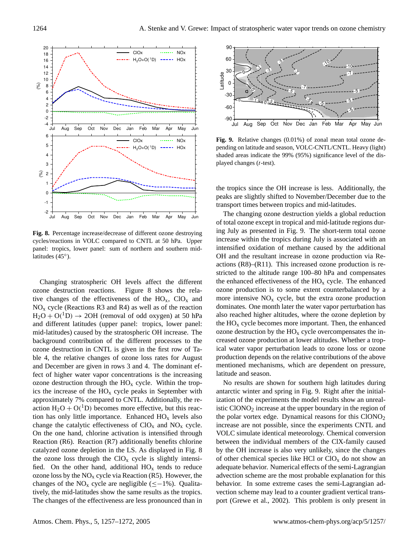

<span id="page-7-0"></span>**Fig. 8.** Percentage increase/decrease of different ozone destroying cycles/reactions in VOLC compared to CNTL at 50 hPa. Upper panel: tropics, lower panel: sum of northern and southern midlatitudes (45◦ ).

Changing stratospheric OH levels affect the different ozone destruction reactions. Figure [8](#page-7-0) shows the relative changes of the effectiveness of the  $HO_x$ ,  $ClO_x$  and  $NO<sub>x</sub>$  cycle (Reactions [R3](#page-13-0) and [R4\)](#page-13-0) as well as of the reaction  $H_2O + O(^1D) \rightarrow 2OH$  (removal of odd oxygen) at 50 hPa and different latitudes (upper panel: tropics, lower panel: mid-latitudes) caused by the stratospheric OH increase. The background contribution of the different processes to the ozone destruction in CNTL is given in the first row of Table [4,](#page-8-1) the relative changes of ozone loss rates for August and December are given in rows 3 and 4. The dominant effect of higher water vapor concentrations is the increasing ozone destruction through the  $HO<sub>x</sub>$  cycle. Within the tropics the increase of the  $HO<sub>x</sub>$  cycle peaks in September with approximately 7% compared to CNTL. Additionally, the reaction  $H_2O + O(^1D)$  becomes more effective, but this reaction has only little importance. Enhanced  $HO<sub>x</sub>$  levels also change the catalytic effectiveness of  $ClO<sub>x</sub>$  and  $NO<sub>x</sub>$  cycle. On the one hand, chlorine activation is intensified through Reaction [\(R6\)](#page-13-0). Reaction [\(R7\)](#page-13-0) additionally benefits chlorine catalyzed ozone depletion in the LS. As displayed in Fig. [8](#page-7-0) the ozone loss through the  $ClO<sub>x</sub>$  cycle is slightly intensified. On the other hand, additional  $HO<sub>x</sub>$  tends to reduce ozone loss by the  $NO<sub>x</sub>$  cycle via Reaction [\(R5\)](#page-13-0). However, the changes of the NO<sub>x</sub> cycle are negligible ( $\leq$ -1%). Qualitatively, the mid-latitudes show the same results as the tropics. The changes of the effectiveness are less pronounced than in



<span id="page-7-1"></span>**Fig. 9.** Relative changes (0.01%) of zonal mean total ozone depending on latitude and season, VOLC-CNTL/CNTL. Heavy (light) shaded areas indicate the 99% (95%) significance level of the displayed changes (t-test).

the tropics since the OH increase is less. Additionally, the peaks are slightly shifted to November/December due to the transport times between tropics and mid-latitudes.

The changing ozone destruction yields a global reduction of total ozone except in tropical and mid-latitude regions during July as presented in Fig. [9.](#page-7-1) The short-term total ozone increase within the tropics during July is associated with an intensified oxidation of methane caused by the additional OH and the resultant increase in ozone production via Reactions [\(R8\)](#page-13-0)–[\(R11\)](#page-13-0). This increased ozone production is restricted to the altitude range 100–80 hPa and compensates the enhanced effectiveness of the  $HO<sub>x</sub>$  cycle. The enhanced ozone production is to some extent counterbalanced by a more intensive  $NO<sub>x</sub>$  cycle, but the extra ozone production dominates. One month later the water vapor perturbation has also reached higher altitudes, where the ozone depletion by the  $HO<sub>x</sub>$  cycle becomes more important. Then, the enhanced ozone destruction by the  $HO<sub>x</sub>$  cycle overcompensates the increased ozone production at lower altitudes. Whether a tropical water vapor perturbation leads to ozone loss or ozone production depends on the relative contributions of the above mentioned mechanisms, which are dependent on pressure, latitude and season.

No results are shown for southern high latitudes during antarctic winter and spring in Fig. [9.](#page-7-1) Right after the initialization of the experiments the model results show an unrealistic  $CIONO<sub>2</sub>$  increase at the upper boundary in the region of the polar vortex edge. Dynamical reasons for this  $CIONO<sub>2</sub>$ increase are not possible, since the experiments CNTL and VOLC simulate identical meteorology. Chemical conversion between the individual members of the ClX-family caused by the OH increase is also very unlikely, since the changes of other chemical species like HCl or  $ClO<sub>x</sub>$  do not show an adequate behavior. Numerical effects of the semi-Lagrangian advection scheme are the most probable explanation for this behavior. In some extreme cases the semi-Lagrangian advection scheme may lead to a counter gradient vertical transport [\(Grewe et al.,](#page-14-18) [2002\)](#page-14-18). This problem is only present in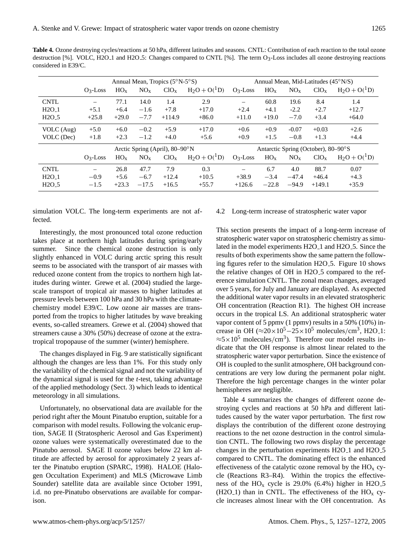<span id="page-8-1"></span>**Table 4.** Ozone destroying cycles/reactions at 50 hPa, different latitudes and seasons. CNTL: Contribution of each reaction to the total ozone destruction [%]. VOLC, H2O<sub>-1</sub> and H2O<sub>-5</sub>: Changes compared to CNTL [%]. The term O<sub>3</sub>-Loss includes all ozone destroying reactions considered in E39/C.

|                  | Annual Mean, Tropics (5°N-5°S)         |                 |         |                  | Annual Mean, Mid-Latitudes (45°N/S) |             |                 |          |                  |                 |
|------------------|----------------------------------------|-----------------|---------|------------------|-------------------------------------|-------------|-----------------|----------|------------------|-----------------|
|                  | $O_3$ -Loss                            | HO <sub>x</sub> | $NO_x$  | ClO <sub>x</sub> | $H_2O + O(^1D)$                     | $O_3$ -Loss | HO <sub>x</sub> | $NO_{x}$ | ClO <sub>x</sub> | $H_2O + O(^1D)$ |
| <b>CNTL</b>      |                                        | 77.1            | 14.0    | 1.4              | 2.9                                 |             | 60.8            | 19.6     | 8.4              | 1.4             |
| H2O <sub>1</sub> | $+5.1$                                 | $+6.4$          | $-1.6$  | $+7.8$           | $+17.0$                             | $+2.4$      | $+4.1$          | $-2.2$   | $+2.7$           | $+12.7$         |
| $H2O_5$          | $+25.8$                                | $+29.0$         | $-7.7$  | $+114.9$         | $+86.0$                             | $+11.0$     | $+19.0$         | $-7.0$   | $+3.4$           | $+64.0$         |
| VOLC (Aug)       | $+5.0$                                 | $+6.0$          | $-0.2$  | $+5.9$           | $+17.0$                             | $+0.6$      | $+0.9$          | $-0.07$  | $+0.03$          | $+2.6$          |
| VOLC (Dec)       | $+1.8$                                 | $+2.3$          | $-1.2$  | $+4.0$           | $+5.6$                              | $+0.9$      | $+1.5$          | $-0.8$   | $+1.3$           | $+4.4$          |
|                  | Arctic Spring (April), $80-90^\circ$ N |                 |         |                  | Antarctic Spring (October), 80–90°S |             |                 |          |                  |                 |
|                  | $O_3$ -Loss                            | HO <sub>x</sub> | $NO_x$  | ClO <sub>x</sub> | $H_2O + O(^1D)$                     | $O_3$ -Loss | HO <sub>x</sub> | $NO_x$   | $ClO_x$          | $H_2O + O(^1D)$ |
| CNTL             |                                        | 26.8            | 47.7    | 7.9              | 0.3                                 |             | 6.7             | 4.0      | 88.7             | 0.07            |
| H2O <sub>1</sub> | $-0.9$                                 | $+5.6$          | $-6.7$  | $+12.4$          | $+10.5$                             | $+38.9$     | $-3.4$          | $-47.4$  | $+46.4$          | $+4.3$          |
| $H2O_5$          | $-1.5$                                 | $+23.3$         | $-17.5$ | $+16.5$          | $+55.7$                             | $+126.6$    | $-22.8$         | $-94.9$  | $+149.1$         | $+35.9$         |

simulation VOLC. The long-term experiments are not affected.

Interestingly, the most pronounced total ozone reduction takes place at northern high latitudes during spring/early summer. Since the chemical ozone destruction is only slightly enhanced in VOLC during arctic spring this result seems to be associated with the transport of air masses with reduced ozone content from the tropics to northern high latitudes during winter. [Grewe et al.](#page-14-17) [\(2004\)](#page-14-17) studied the largescale transport of tropical air masses to higher latitudes at pressure levels between 100 hPa and 30 hPa with the climatechemistry model E39/C. Low ozone air masses are transported from the tropics to higher latitudes by wave breaking events, so-called streamers. [Grewe et al.](#page-14-17) [\(2004\)](#page-14-17) showed that streamers cause a 30% (50%) decrease of ozone at the extratropical tropopause of the summer (winter) hemisphere.

The changes displayed in Fig. [9](#page-7-1) are statistically significant although the changes are less than 1%. For this study only the variability of the chemical signal and not the variability of the dynamical signal is used for the *t*-test, taking advantage of the applied methodology (Sect. [3\)](#page-4-0) which leads to identical meteorology in all simulations.

Unfortunately, no observational data are available for the period right after the Mount Pinatubo eruption, suitable for a comparison with model results. Following the volcanic eruption, SAGE II (Stratospheric Aerosol and Gas Experiment) ozone values were systematically overestimated due to the Pinatubo aerosol. SAGE II ozone values below 22 km altitude are affected by aerosol for approximately 2 years after the Pinatubo eruption [\(SPARC,](#page-15-16) [1998\)](#page-15-16). HALOE (Halogen Occultation Experiment) and MLS (Microwave Limb Sounder) satellite data are available since October 1991, i.d. no pre-Pinatubo observations are available for comparison.

#### <span id="page-8-0"></span>4.2 Long-term increase of stratospheric water vapor

This section presents the impact of a long-term increase of stratospheric water vapor on stratospheric chemistry as simulated in the model experiments H2O<sub>-1</sub> and H2O<sub>-5</sub>. Since the results of both experiments show the same pattern the following figures refer to the simulation H2O 5. Figure [10](#page-9-0) shows the relative changes of OH in H2O 5 compared to the reference simulation CNTL. The zonal mean changes, averaged over 5 years, for July and January are displayed. As expected the additional water vapor results in an elevated stratospheric OH concentration (Reaction [R1\)](#page-13-0). The highest OH increase occurs in the tropical LS. An additional stratospheric water vapor content of 5 ppmv (1 ppmv) results in a 50% (10%) increase in OH ( $\approx$ 20×10<sup>5</sup> –25×10<sup>5</sup> molecules/cm<sup>3</sup>, H2O<sub>-1</sub>:  $\approx$ 5×10<sup>5</sup> molecules/cm<sup>3</sup>). Therefore our model results indicate that the OH response is almost linear related to the stratospheric water vapor perturbation. Since the existence of OH is coupled to the sunlit atmosphere, OH background concentrations are very low during the permanent polar night. Therefore the high percentage changes in the winter polar hemispheres are negligible.

Table [4](#page-8-1) summarizes the changes of different ozone destroying cycles and reactions at 50 hPa and different latitudes caused by the water vapor perturbation. The first row displays the contribution of the different ozone destroying reactions to the net ozone destruction in the control simulation CNTL. The following two rows display the percentage changes in the perturbation experiments H2O<sub>-1</sub> and H2O<sub>-5</sub> compared to CNTL. The dominating effect is the enhanced effectiveness of the catalytic ozone removal by the  $HO<sub>x</sub>$  cycle (Reactions [R3–R4\)](#page-13-0). Within the tropics the effectiveness of the  $HO_x$  cycle is 29.0% (6.4%) higher in H2O 5  $(H2O<sub>-1</sub>)$  than in CNTL. The effectiveness of the  $HO<sub>x</sub>$  cycle increases almost linear with the OH concentration. As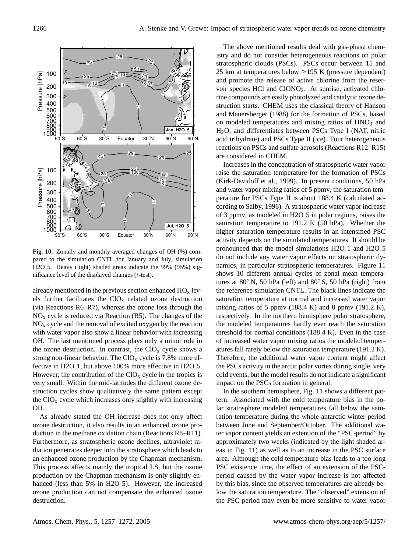

<span id="page-9-0"></span>**Fig. 10.** Zonally and monthly averaged changes of OH (%) compared to the simulation CNTL for January and July, simulation H2O<sub>-5</sub>. Heavy (light) shaded areas indicate the 99% (95%) significance level of the displayed changes  $(t$ -test).

already mentioned in the previous section enhanced  $HO_x$  levels further facilitates the  $ClO<sub>x</sub>$  related ozone destruction (via Reactions [R6–R7\)](#page-13-0), whereas the ozone loss through the  $NO<sub>x</sub>$  cycle is reduced via Reaction [\(R5\)](#page-13-0). The changes of the  $NO<sub>x</sub>$  cycle and the removal of excited oxygen by the reaction with water vapor also show a linear behavior with increasing OH. The last mentioned process plays only a minor role in the ozone destruction. In contrast, the  $ClO_x$  cycle shows a strong non-linear behavior. The  $ClO<sub>x</sub>$  cycle is 7.8% more effective in H2O<sub>-1</sub>, but above 100% more effective in H2O<sub>-5</sub>. However, the contribution of the  $ClO<sub>x</sub>$  cycle in the tropics is very small. Within the mid-latitudes the different ozone destruction cycles show qualitatively the same pattern except the  $ClO_x$  cycle which increases only slightly with increasing OH.

As already stated the OH increase does not only affect ozone destruction, it also results in an enhanced ozone production in the methane oxidation chain (Reactions [R8–R11\)](#page-13-0). Furthermore, as stratospheric ozone declines, ultraviolet radiation penetrates deeper into the stratosphere which leads to an enhanced ozone production by the Chapman mechanism. This process affects mainly the tropical LS, but the ozone production by the Chapman mechanism is only slightly enhanced (less than 5% in H2O<sub>-5</sub>). However, the increased ozone production can not compensate the enhanced ozone destruction.

The above mentioned results deal with gas-phase chemistry and do not consider heterogeneous reactions on polar stratospheric clouds (PSCs). PSCs occur between 15 and 25 km at temperatures below  $\approx$ 195 K (pressure dependent) and promote the release of active chlorine from the reservoir species HCl and ClONO2. At sunrise, activated chlorine compounds are easily photolyzed and catalytic ozone destruction starts. CHEM uses the classical theory of [Hanson](#page-14-19) [and Mauersberger](#page-14-19) [\(1988\)](#page-14-19) for the formation of PSCs, based on modeled temperatures and mixing ratios of  $HNO<sub>3</sub>$  and H2O, and differentiates between PSCs Type I (NAT, nitric acid trihydrate) and PSCs Type II (ice). Four heterogeneous reactions on PSCs and sulfate aerosols (Reactions [R12–R15\)](#page-13-0) are considered in CHEM.

Increases in the concentration of stratospheric water vapor raise the saturation temperature for the formation of PSCs [\(Kirk-Davidoff et al.,](#page-14-20) [1999\)](#page-14-20). In present conditions, 50 hPa and water vapor mixing ratios of 5 ppmv, the saturation temperature for PSCs Type II is about 188.4 K (calculated according to [Salby,](#page-15-17) [1996\)](#page-15-17). A stratospheric water vapor increase of 3 ppmv, as modeled in H2O 5 in polar regions, raises the saturation temperature to 191.2 K (50 hPa). Whether the higher saturation temperature results in an intensified PSC activity depends on the simulated temperatures. It should be pronounced that the model simulations H2O<sub>-1</sub> and H2O<sub>-5</sub> do not include any water vapor effects on stratospheric dynamics, in particular stratospheric temperatures. Figure [11](#page-10-0) shows 10 different annual cycles of zonal mean temperatures at  $80°$  N, 50 hPa (left) and  $80°$  S, 50 hPa (right) from the reference simulation CNTL. The black lines indicate the saturation temperature at normal and increased water vapor mixing ratios of 5 ppmv  $(188.4 \text{ K})$  and 8 ppmv  $(191.2 \text{ K})$ , respectively. In the northern hemisphere polar stratosphere, the modeled temperatures hardly ever reach the saturation threshold for normal conditions (188.4 K). Even in the case of increased water vapor mixing ratios the modeled temperatures fall rarely below the saturation temperature (191.2 K). Therefore, the additional water vapor content might affect the PSCs activity in the arctic polar vortex during single, very cold events, but the model results do not indicate a significant impact on the PSCs formation in general.

In the southern hemisphere, Fig. [11](#page-10-0) shows a different pattern. Associated with the cold temperature bias in the polar stratosphere modeled temperatures fall below the saturation temperature during the whole antarctic winter period between June and September/October. The additional water vapor content yields an extention of the "PSC-period" by approximately two weeks (indicated by the light shaded areas in Fig. [11\)](#page-10-0) as well as to an increase in the PSC surface area. Although the cold temperature bias leads to a too long PSC existence time, the effect of an extension of the PSCperiod caused by the water vapor increase is not affected by this bias, since the observed temperatures are already below the saturation temperature. The "observed" extension of the PSC period may even be more sensitive to water vapor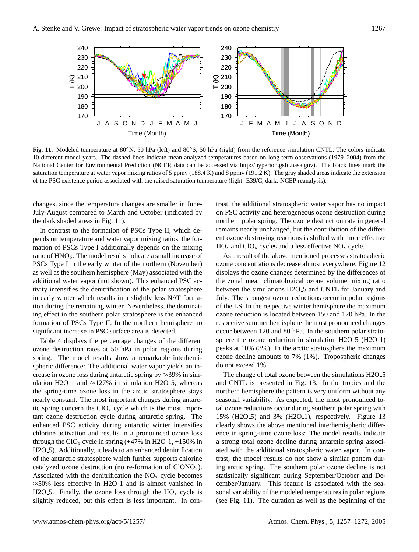

<span id="page-10-0"></span>**Fig. 11.** Modeled temperature at 80◦N, 50 hPa (left) and 80◦S, 50 hPa (right) from the reference simulation CNTL. The colors indicate 10 different model years. The dashed lines indicate mean analyzed temperatures based on long-term observations (1979–2004) from the National Center for Environmental Prediction (NCEP, data can be accessed via [http://hyperion.gsfc.nasa.gov\)](http://hyperion.gsfc.nasa.gov). The black lines mark the saturation temperature at water vapor mixing ratios of 5 ppmv (188.4 K) and 8 ppmv (191.2 K). The gray shaded areas indicate the extension of the PSC existence period associated with the raised saturation temperature (light: E39/C, dark: NCEP reanalysis).

changes, since the temperature changes are smaller in June-July-August compared to March and October (indicated by the dark shaded areas in Fig. [11\)](#page-10-0).

In contrast to the formation of PSCs Type II, which depends on temperature and water vapor mixing ratios, the formation of PSCs Type I additionally depends on the mixing ratio of HNO3. The model results indicate a small increase of PSCs Type I in the early winter of the northern (November) as well as the southern hemisphere (May) associated with the additional water vapor (not shown). This enhanced PSC activity intensifies the denitrification of the polar stratosphere in early winter which results in a slightly less NAT formation during the remaining winter. Nevertheless, the dominating effect in the southern polar stratosphere is the enhanced formation of PSCs Type II. In the northern hemisphere no significant increase in PSC surface area is detected.

Table [4](#page-8-1) displays the percentage changes of the different ozone destruction rates at 50 hPa in polar regions during spring. The model results show a remarkable interhemispheric difference: The additional water vapor yields an increase in ozone loss during antarctic spring by  $\approx$ 39% in simulation H2O 1 and  $\approx$  127% in simulation H2O 5, whereas the spring-time ozone loss in the arctic stratosphere stays nearly constant. The most important changes during antarctic spring concern the  $ClO<sub>x</sub>$  cycle which is the most important ozone destruction cycle during antarctic spring. The enhanced PSC activity during antarctic winter intensifies chlorine activation and results in a pronounced ozone loss through the ClO<sub>x</sub> cycle in spring  $(+47\% \text{ in H2O}_1, +150\% \text{ in}$ H<sub>2</sub>O<sub>-5</sub>). Additionally, it leads to an enhanced denitrification of the antarctic stratosphere which further supports chlorine catalyzed ozone destruction (no re-formation of  $CIONO<sub>2</sub>$ ). Associated with the denitrification the  $NO<sub>x</sub>$  cycle becomes ≈50% less effective in H2O 1 and is almost vanished in H2O 5. Finally, the ozone loss through the  $HO<sub>x</sub>$  cycle is slightly reduced, but this effect is less important. In contrast, the additional stratospheric water vapor has no impact on PSC activity and heterogeneous ozone destruction during northern polar spring. The ozone destruction rate in general remains nearly unchanged, but the contribution of the different ozone destroying reactions is shifted with more effective  $HO<sub>x</sub>$  and  $ClO<sub>x</sub>$  cycles and a less effective  $NO<sub>x</sub>$  cycle.

As a result of the above mentioned processes stratospheric ozone concentrations decrease almost everywhere. Figure [12](#page-11-1) displays the ozone changes determined by the differences of the zonal mean climatological ozone volume mixing ratio between the simulations H2O<sub>-5</sub> and CNTL for January and July. The strongest ozone reductions occur in polar regions of the LS. In the respective winter hemisphere the maximum ozone reduction is located between 150 and 120 hPa. In the respective summer hemisphere the most pronounced changes occur between 120 and 80 hPa. In the southern polar stratosphere the ozone reduction in simulation  $H2O<sub>-5</sub>$  ( $H2O<sub>-1</sub>$ ) peaks at 10% (3%). In the arctic stratosphere the maximum ozone decline amounts to 7% (1%). Tropospheric changes do not exceed 1%.

The change of total ozone between the simulations H2O<sub>-5</sub> and CNTL is presented in Fig. [13.](#page-11-2) In the tropics and the northern hemisphere the pattern is very uniform without any seasonal variability. As expected, the most pronounced total ozone reductions occur during southern polar spring with 15% (H2O<sub>-5</sub>) and 3% (H2O<sub>-1</sub>), respectively. Figure [13](#page-11-2) clearly shows the above mentioned interhemispheric difference in spring-time ozone loss: The model results indicate a strong total ozone decline during antarctic spring associated with the additional stratospheric water vapor. In contrast, the model results do not show a similar pattern during arctic spring. The southern polar ozone decline is not statistically significant during September/October and December/January. This feature is associated with the seasonal variability of the modeled temperatures in polar regions (see Fig. [11\)](#page-10-0). The duration as well as the beginning of the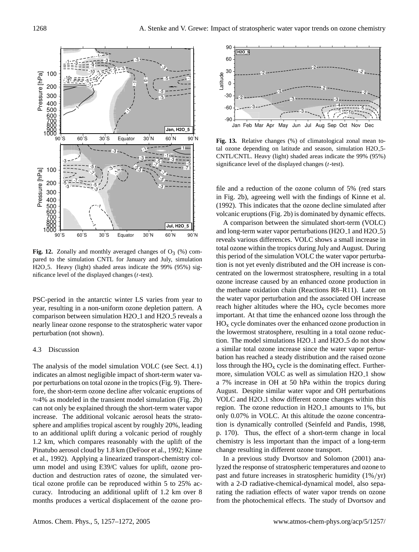

<span id="page-11-1"></span>**Fig. 12.** Zonally and monthly averaged changes of  $O_3$  (%) compared to the simulation CNTL for January and July, simulation H2O<sub>-5</sub>. Heavy (light) shaded areas indicate the 99% (95%) significance level of the displayed changes (t-test).

PSC-period in the antarctic winter LS varies from year to year, resulting in a non-uniform ozone depletion pattern. A comparison between simulation H2O<sub>-1</sub> and H2O<sub>-5</sub> reveals a nearly linear ozone response to the stratospheric water vapor perturbation (not shown).

# <span id="page-11-0"></span>4.3 Discussion

The analysis of the model simulation VOLC (see Sect. [4.1\)](#page-6-0) indicates an almost negligible impact of short-term water vapor perturbations on total ozone in the tropics (Fig. [9\)](#page-7-1). Therefore, the short-term ozone decline after volcanic eruptions of ≈4% as modeled in the transient model simulation (Fig. [2b](#page-1-1)) can not only be explained through the short-term water vapor increase. The additional volcanic aerosol heats the stratosphere and amplifies tropical ascent by roughly 20%, leading to an additional uplift during a volcanic period of roughly 1.2 km, which compares reasonably with the uplift of the Pinatubo aerosol cloud by 1.8 km [\(DeFoor et al.,](#page-14-21) [1992;](#page-14-21) [Kinne](#page-14-22) [et al.,](#page-14-22) [1992\)](#page-14-22). Applying a linearized transport-chemistry column model and using E39/C values for uplift, ozone production and destruction rates of ozone, the simulated vertical ozone profile can be reproduced within 5 to 25% accuracy. Introducing an additional uplift of 1.2 km over 8 months produces a vertical displacement of the ozone pro-



<span id="page-11-2"></span>**Fig. 13.** Relative changes (%) of climatological zonal mean total ozone depending on latitude and season, simulation H2O 5- CNTL/CNTL. Heavy (light) shaded areas indicate the 99% (95%) significance level of the displayed changes (t-test).

file and a reduction of the ozone column of 5% (red stars in Fig. [2b](#page-1-1)), agreeing well with the findings of [Kinne et al.](#page-14-22) [\(1992\)](#page-14-22). This indicates that the ozone decline simulated after volcanic eruptions (Fig. [2b](#page-1-1)) is dominated by dynamic effects.

A comparison between the simulated short-term (VOLC) and long-term water vapor perturbations (H2O<sub>-1</sub> and H2O<sub>-5</sub>) reveals various differences. VOLC shows a small increase in total ozone within the tropics during July and August. During this period of the simulation VOLC the water vapor perturbation is not yet evenly distributed and the OH increase is concentrated on the lowermost stratosphere, resulting in a total ozone increase caused by an enhanced ozone production in the methane oxidation chain (Reactions [R8–R11\)](#page-13-0). Later on the water vapor perturbation and the associated OH increase reach higher altitudes where the  $HO<sub>x</sub>$  cycle becomes more important. At that time the enhanced ozone loss through the  $HO<sub>x</sub>$  cycle dominates over the enhanced ozone production in the lowermost stratosphere, resulting in a total ozone reduction. The model simulations H2O<sub>-1</sub> and H<sub>2O</sub>-5 do not show a similar total ozone increase since the water vapor perturbation has reached a steady distribution and the raised ozone loss through the  $HO_x$  cycle is the dominating effect. Furthermore, simulation VOLC as well as simulation H2O<sub>-1</sub> show a 7% increase in OH at 50 hPa within the tropics during August. Despite similar water vapor and OH perturbations VOLC and H2O<sub>-1</sub> show different ozone changes within this region. The ozone reduction in H2O<sub>-1</sub> amounts to 1%, but only 0.07% in VOLC. At this altitude the ozone concentration is dynamically controlled [\(Seinfeld and Pandis,](#page-15-15) [1998,](#page-15-15) p. 170). Thus, the effect of a short-term change in local chemistry is less important than the impact of a long-term change resulting in different ozone transport.

In a previous study [Dvortsov and Solomon](#page-14-4) [\(2001\)](#page-14-4) analyzed the response of stratospheric temperatures and ozone to past and future increases in stratospheric humidity (1%/yr) with a 2-D radiative-chemical-dynamical model, also separating the radiation effects of water vapor trends on ozone from the photochemical effects. The study of [Dvortsov and](#page-14-4)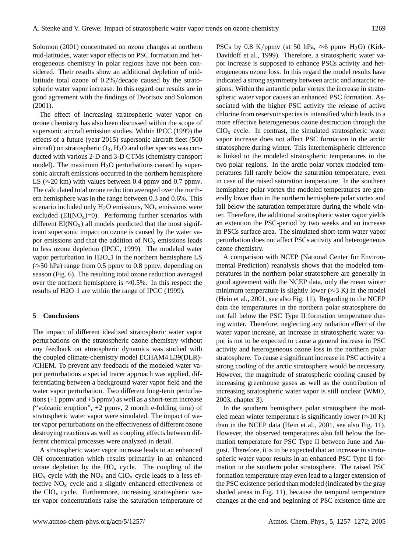[Solomon](#page-14-4) [\(2001\)](#page-14-4) concentrated on ozone changes at northern mid-latitudes, water vapor effects on PSC formation and heterogeneous chemistry in polar regions have not been considered. Their results show an additional depletion of midlatitude total ozone of 0.2%/decade caused by the stratospheric water vapor increase. In this regard our results are in good agreement with the findings of [Dvortsov and Solomon](#page-14-4) [\(2001\)](#page-14-4).

The effect of increasing stratospheric water vapor on ozone chemistry has also been discussed within the scope of supersonic aircraft emission studies. Within [IPCC](#page-14-23) [\(1999\)](#page-14-23) the effects of a future (year 2015) supersonic aircraft fleet (500 aircraft) on stratospheric  $O_3$ ,  $H_2O$  and other species was conducted with various 2-D and 3-D CTMs (chemistry transport model). The maximum  $H<sub>2</sub>O$  perturbations caused by supersonic aircraft emissions occurred in the northern hemisphere LS ( $\approx$ 20 km) with values between 0.4 ppmv and 0.7 ppmv. The calculated total ozone reduction averaged over the northern hemisphere was in the range between 0.3 and 0.6%. This scenario included only  $H_2O$  emissions,  $NO<sub>x</sub>$  emissions were excluded ( $EI(NO<sub>x</sub>)=0$ ). Performing further scenarios with different  $EI(NO<sub>x</sub>)$  all models predicted that the most significant supersonic impact on ozone is caused by the water vapor emissions and that the addition of  $NO<sub>x</sub>$  emissions leads to less ozone depletion [\(IPCC,](#page-14-23) [1999\)](#page-14-23). The modeled water vapor perturbation in H2O<sub>-1</sub> in the northern hemisphere LS (≈50 hPa) range from 0.5 ppmv to 0.8 ppmv, depending on season (Fig. [6\)](#page-6-1). The resulting total ozone reduction averaged over the northern hemisphere is  $\approx 0.5\%$ . In this respect the results of H2O<sub>-1</sub> are within the range of [IPCC](#page-14-23) [\(1999\)](#page-14-23).

#### **5 Conclusions**

The impact of different idealized stratospheric water vapor perturbations on the stratospheric ozone chemistry without any feedback on atmospheric dynamics was studied with the coupled climate-chemistry model ECHAM4.L39(DLR)- /CHEM. To prevent any feedback of the modeled water vapor perturbations a special tracer approach was applied, differentiating between a background water vapor field and the water vapor perturbation. Two different long-term perturbations (+1 ppmv and +5 ppmv) as well as a short-term increase ("volcanic eruption", +2 ppmv, 2 month e-folding time) of stratospheric water vapor were simulated. The impact of water vapor perturbations on the effectiveness of different ozone destroying reactions as well as coupling effects between different chemical processes were analyzed in detail.

A stratospheric water vapor increase leads to an enhanced OH concentration which results primarily in an enhanced ozone depletion by the  $HO<sub>x</sub>$  cycle. The coupling of the  $HO_x$  cycle with the  $NO_x$  and  $ClO_x$  cycle leads to a less effective  $NO<sub>x</sub>$  cycle and a slightly enhanced effectiveness of the  $ClO<sub>x</sub>$  cycle. Furthermore, increasing stratospheric water vapor concentrations raise the saturation temperature of PSCs by 0.8 K/ppmv (at 50 hPa,  $\approx$ 6 ppmv H<sub>2</sub>O) [\(Kirk-](#page-14-20)[Davidoff et al.,](#page-14-20) [1999\)](#page-14-20). Therefore, a stratospheric water vapor increase is supposed to enhance PSCs activity and heterogeneous ozone loss. In this regard the model results have indicated a strong asymmetry between arctic and antarctic regions: Within the antarctic polar vortex the increase in stratospheric water vapor causes an enhanced PSC formation. Associated with the higher PSC activity the release of active chlorine from reservoir species is intensified which leads to a more effective heterogeneous ozone destruction through the  $ClO<sub>x</sub>$  cycle. In contrast, the simulated stratospheric water vapor increase does not affect PSC formation in the arctic stratosphere during winter. This interhemispheric difference is linked to the modeled stratospheric temperatures in the two polar regions. In the arctic polar vortex modeled temperatures fall rarely below the saturation temperature, even in case of the raised saturation temperature. In the southern hemisphere polar vortex the modeled temperatures are generally lower than in the northern hemisphere polar vortex and fall below the saturation temperature during the whole winter. Therefore, the additional stratospheric water vapor yields an extention the PSC-period by two weeks and an increase in PSCs surface area. The simulated short-term water vapor perturbation does not affect PSCs activity and heterogeneous ozone chemistry.

A comparison with NCEP (National Center for Environmental Prediction) reanalysis shows that the modeled temperatures in the northern polar stratosphere are generally in good agreement with the NCEP data, only the mean winter minimum temperature is slightly lower ( $\approx$ 3 K) in the model [\(Hein et al.,](#page-14-6) [2001,](#page-14-6) see also Fig. [11\)](#page-10-0). Regarding to the NCEP data the temperatures in the northern polar stratosphere do not fall below the PSC Type II formation temperature during winter. Therefore, neglecting any radiation effect of the water vapor increase, an increase in stratospheric water vapor is not to be expected to cause a general increase in PSC activity and heterogeneous ozone loss in the northern polar stratosphere. To cause a significant increase in PSC activity a strong cooling of the arctic stratosphere would be necessary. However, the magnitude of stratospheric cooling caused by increasing greenhouse gases as well as the contribution of increasing stratospheric water vapor is still unclear [\(WMO,](#page-15-18) [2003,](#page-15-18) chapter 3).

In the southern hemisphere polar stratosphere the modeled mean winter temperature is significantly lower ( $\approx$ 10 K) than in the NCEP data [\(Hein et al.,](#page-14-6) [2001,](#page-14-6) see also Fig. [11\)](#page-10-0). However, the observed temperatures also fall below the formation temperature for PSC Type II between June and August. Therefore, it is to be expected that an increase in stratospheric water vapor results in an enhanced PSC Type II formation in the southern polar stratosphere. The raised PSC formation temperature may even lead to a larger extension of the PSC existence period than modeled (indicated by the gray shaded areas in Fig. [11\)](#page-10-0), because the temporal temperature changes at the end and beginning of PSC existence time are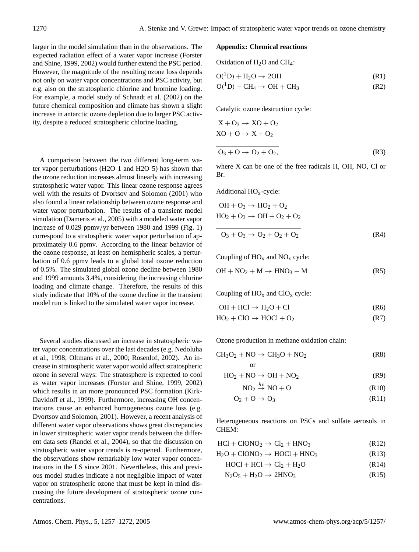larger in the model simulation than in the observations. The expected radiation effect of a water vapor increase [\(Forster](#page-14-24) [and Shine,](#page-14-24) [1999,](#page-14-24) [2002\)](#page-14-25) would further extend the PSC period. However, the magnitude of the resulting ozone loss depends not only on water vapor concentrations and PSC activity, but e.g. also on the stratospheric chlorine and bromine loading. For example, a model study of [Schnadt et al.](#page-15-9) [\(2002\)](#page-15-9) on the future chemical composition and climate has shown a slight increase in antarctic ozone depletion due to larger PSC activity, despite a reduced stratospheric chlorine loading.

A comparison between the two different long-term water vapor perturbations (H2O<sub>-1</sub> and H2O<sub>-5</sub>) has shown that the ozone reduction increases almost linearly with increasing stratospheric water vapor. This linear ozone response agrees well with the results of [Dvortsov and Solomon](#page-14-4) [\(2001\)](#page-14-4) who also found a linear relationship between ozone response and water vapor perturbation. The results of a transient model simulation [\(Dameris et al.,](#page-14-2) [2005\)](#page-14-2) with a modeled water vapor increase of 0.029 ppmv/yr between 1980 and 1999 (Fig. [1\)](#page-1-0) correspond to a stratospheric water vapor perturbation of approximately 0.6 ppmv. According to the linear behavior of the ozone response, at least on hemispheric scales, a perturbation of 0.6 ppmv leads to a global total ozone reduction of 0.5%. The simulated global ozone decline between 1980 and 1999 amounts 3.4%, considering the increasing chlorine loading and climate change. Therefore, the results of this study indicate that 10% of the ozone decline in the transient model run is linked to the simulated water vapor increase.

Several studies discussed an increase in stratospheric water vapor concentrations over the last decades (e.g. [Nedoluha](#page-15-1) [et al.,](#page-15-1) [1998;](#page-15-1) [Oltmans et al.,](#page-15-4) [2000;](#page-15-4) [Rosenlof,](#page-15-11) [2002\)](#page-15-11). An increase in stratospheric water vapor would affect stratospheric ozone in several ways: The stratosphere is expected to cool as water vapor increases [\(Forster and Shine,](#page-14-24) [1999,](#page-14-24) [2002\)](#page-14-25) which results in an more pronounced PSC formation [\(Kirk-](#page-14-20)[Davidoff et al.,](#page-14-20) [1999\)](#page-14-20). Furthermore, increasing OH concentrations cause an enhanced homogeneous ozone loss (e.g. [Dvortsov and Solomon,](#page-14-4) [2001\)](#page-14-4). However, a recent analysis of different water vapor observations shows great discrepancies in lower stratospheric water vapor trends between the different data sets [\(Randel et al.,](#page-15-5) [2004\)](#page-15-5), so that the discussion on stratospheric water vapor trends is re-opened. Furthermore, the observations show remarkably low water vapor concentrations in the LS since 2001. Nevertheless, this and previous model studies indicate a not negligible impact of water vapor on stratospheric ozone that must be kept in mind discussing the future development of stratospheric ozone concentrations.

## **Appendix: Chemical reactions**

<span id="page-13-0"></span>Oxidation of  $H_2O$  and  $CH_4$ :

$$
O(^{1}D) + H_{2}O \rightarrow 2OH
$$
\n
$$
O(^{1}D) + CH_{4} \rightarrow OH + CH_{3}
$$
\n(R1)\n(R2)

Catalytic ozone destruction cycle:

$$
X + O_3 \rightarrow XO + O_2
$$
  
\n
$$
XO + O \rightarrow X + O_2
$$
  
\n
$$
O_3 + O \rightarrow O_2 + O_2,
$$
\n(R3)

where X can be one of the free radicals H, OH, NO, Cl or Br.

Additional 
$$
HO_x
$$
-cycle:

$$
OH + O3 \rightarrow HO2 + O2
$$
  
\n
$$
HO2 + O3 \rightarrow OH + O2 + O2
$$
  
\n
$$
O3 + O3 \rightarrow O2 + O2 + O2
$$
 (R4)

Coupling of  $HO_x$  and  $NO_x$  cycle:

$$
OH + NO2 + M \rightarrow HNO3 + M
$$
 (R5)

Coupling of  $HO_x$  and  $ClO_x$  cycle:

$$
OH + HCl \rightarrow H_2O + Cl \tag{R6}
$$

 $HO<sub>2</sub> + ClO \rightarrow HOCl + O<sub>2</sub>$  (R7)

Ozone production in methane oxidation chain:

$$
CH3O2 + NO \rightarrow CH3O + NO2
$$
 (R8)

$$
HO_2 + NO \rightarrow OH + NO_2 \tag{R9}
$$

$$
NO_2 \stackrel{h\nu}{\rightarrow} NO + O \tag{R10}
$$

$$
O_2 + O \to O_3 \tag{R11}
$$

Heterogeneous reactions on PSCs and sulfate aerosols in CHEM:

| $HC1 + ClONO2 \rightarrow Cl2 + HNO3$ | (R12) |
|---------------------------------------|-------|
|---------------------------------------|-------|

$$
H_2O + ClONO_2 \rightarrow HOCI + HNO_3 \tag{R13}
$$

$$
HOC1 + HCl \rightarrow Cl_2 + H_2O \tag{R14}
$$

$$
N_2O_5 + H_2O \rightarrow 2HNO_3 \tag{R15}
$$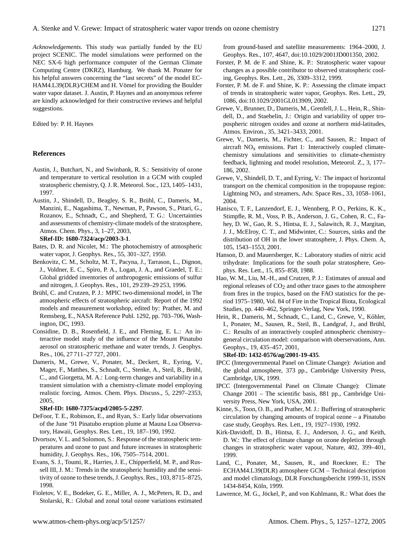*Acknowledgements.* This study was partially funded by the EU project SCENIC. The model simulations were performed on the NEC SX-6 high performance computer of the German Climate Computing Centre (DKRZ), Hamburg. We thank M. Ponater for his helpful answers concerning the "last secrets" of the model EC-HAM4.L39(DLR)/CHEM and H. Vömel for providing the Boulder water vapor dataset. J. Austin, P. Haynes and an anonymous referee are kindly acknowledged for their constructive reviews and helpful suggestions.

Edited by: P. H. Haynes

# **References**

- <span id="page-14-11"></span>Austin, J., Butchart, N., and Swinbank, R. S.: Sensitivity of ozone and temperature to vertical resolution in a GCM with coupled stratospheric chemistry, Q. J. R. Meteorol. Soc., 123, 1405–1431, 1997.
- <span id="page-14-12"></span>Austin, J., Shindell, D., Beagley, S. R., Brühl, C., Dameris, M., Manzini, E., Nagashima, T., Newman, P., Pawson, S., Pitari, G., Rozanov, E., Schnadt, C., and Shepherd, T. G.: Uncertainties and assessments of chemistry-climate models of the stratosphere, Atmos. Chem. Phys., 3, 1–27, 2003,

**[SRef-ID: 1680-7324/acp/2003-3-1](http://direct.sref.org/1680-7324/acp/2003-3-1)**.

- <span id="page-14-0"></span>Bates, D. R. and Nicolet, M.: The photochemistry of atmospheric water vapor, J. Geophys. Res., 55, 301–327, 1950.
- <span id="page-14-15"></span>Benkovitz, C. M., Scholtz, M. T., Pacyna, J., Tarrason, L., Dignon, J., Voldner, E. C., Spiro, P. A., Logan, J. A., and Graedel, T. E.: Global gridded inventories of anthropogenic emissions of sulfur and nitrogen, J. Geophys. Res., 101, 29 239–29 253, 1996.
- <span id="page-14-9"></span>Brühl, C. and Crutzen, P. J.: MPIC two-dimensional model, in The atmospheric effects of stratospheric aircraft: Report of the 1992 models and measurement workshop, edited by: Prather, M. and Remsberg, E., NASA Reference Publ. 1292, pp. 703–706, Washington, DC, 1993.
- <span id="page-14-5"></span>Considine, D. B., Rosenfield, J. E., and Fleming, E. L.: An interactive model study of the influence of the Mount Pinatubo aerosol on stratospheric methane and water trends, J. Geophys. Res., 106, 27 711–27 727, 2001.
- <span id="page-14-2"></span>Dameris, M., Grewe, V., Ponater, M., Deckert, R., Eyring, V., Mager, F., Matthes, S., Schnadt, C., Stenke, A., Steil, B., Brühl, C., and Giorgetta, M. A.: Long-term changes and variability in a transient simulation with a chemistry-climate model employing realistic forcing, Atmos. Chem. Phys. Discuss., 5, 2297–2353, 2005,

#### **[SRef-ID: 1680-7375/acpd/2005-5-2297](http://direct.sref.org/1680-7375/acpd/2005-5-2297)**.

- <span id="page-14-21"></span>DeFoor, T. E., Robinson, E., and Ryan, S.: Early lidar observations of the June '91 Pinatubo eruption plume at Mauna Loa Observatory, Hawaii, Geophys. Res. Lett., 19, 187–190, 1992.
- <span id="page-14-4"></span>Dvortsov, V. L. and Solomon, S.: Response of the stratospheric temperatures and ozone to past and future increases in stratospheric humidity, J. Geophys. Res., 106, 7505–7514, 2001.
- <span id="page-14-1"></span>Evans, S. J., Toumi, R., Harries, J. E., Chipperfield, M. P., and Russell III, J. M.: Trends in the stratospheric humidity and the sensitivity of ozone to these trends, J. Geophys. Res., 103, 8715–8725, 1998.
- <span id="page-14-3"></span>Fioletov, V. E., Bodeker, G. E., Miller, A. J., McPeters, R. D., and Stolarski, R.: Global and zonal total ozone variations estimated

from ground-based and satellite measurements: 1964–2000, J. Geophys. Res., 107, 4647, doi:10.1029/2001JD001350, 2002.

- <span id="page-14-24"></span>Forster, P. M. de F. and Shine, K. P.: Stratospheric water vapour changes as a possible contributor to observed stratospheric cooling, Geophys. Res. Lett., 26, 3309–3312, 1999.
- <span id="page-14-25"></span>Forster, P. M. de F. and Shine, K. P.: Assessing the climate impact of trends in stratospheric water vapor, Geophys. Res. Lett., 29, 1086, doi:10.1029/2001GL013909, 2002.
- <span id="page-14-10"></span>Grewe, V., Brunner, D., Dameris, M., Grenfell, J. L., Hein, R., Shindell, D., and Staehelin, J.: Origin and variability of upper tropospheric nitrogen oxides and ozone at northern mid-latitudes, Atmos. Environ., 35, 3421–3433, 2001.
- <span id="page-14-18"></span>Grewe, V., Dameris, M., Fichter, C., and Sausen, R.: Impact of aircraft  $NO<sub>x</sub>$  emissions. Part 1: Interactively coupled climatechemistry simulations and sensitivities to climate-chemistry feedback, lightning and model resolution, Meteorol. Z., 3, 177– 186, 2002.
- <span id="page-14-17"></span>Grewe, V., Shindell, D. T., and Eyring, V.: The impact of horizontal transport on the chemical composition in the tropopause region: Lightning  $NO<sub>x</sub>$  and streamers, Adv. Space Res., 33, 1058–1061, 2004.
- <span id="page-14-13"></span>Hanisco, T. F., Lanzendorf, E. J., Wennberg, P. O., Perkins, K. K., Stimpfle, R. M., Voss, P. B., Anderson, J. G., Cohen, R. C., Fahey, D. W., Gao, R. S., Hintsa, E. J., Salawitch, R. J., Margitan, J. J., McElroy, C. T., and Midwinter, C.: Sources, sinks and the distribution of OH in the lower stratosphere, J. Phys. Chem. A, 105, 1543–1553, 2001.
- <span id="page-14-19"></span>Hanson, D. and Mauersberger, K.: Laboratory studies of nitric acid trihydrate: Implications for the south polar stratosphere, Geophys. Res. Lett., 15, 855–858, 1988.
- <span id="page-14-16"></span>Hao, W. M., Liu, M.-H., and Crutzen, P. J.: Estimates of annual and regional releases of  $CO<sub>2</sub>$  and other trace gases to the atmosphere from fires in the tropics, based on the FAO statistics for the period 1975–1980, Vol. 84 of Fire in the Tropical Biota, Ecological Studies, pp. 440–462, Springer-Verlag, New York, 1990.
- <span id="page-14-6"></span>Hein, R., Dameris, M., Schnadt, C., Land, C., Grewe, V., Köhler, I., Ponater, M., Sausen, R., Steil, B., Landgraf, J., and Brühl, C.: Results of an interactively coupled atmospheric chemistry– general circulation model: comparison with oberservations, Ann. Geophys., 19, 435–457, 2001,
	- **[SRef-ID: 1432-0576/ag/2001-19-435](http://direct.sref.org/1432-0576/ag/2001-19-435)**.
- <span id="page-14-23"></span>IPCC (Intergovernmental Panel on Climate Change): Aviation and the global atmosphere, 373 pp., Cambridge University Press, Cambridge, UK, 1999.
- <span id="page-14-8"></span>IPCC (Intergovernmental Panel on Climate Change): Climate Change 2001 – The scientific basis, 881 pp., Cambridge University Press, New York, USA, 2001.
- <span id="page-14-22"></span>Kinne, S., Toon, O. B., and Prather, M. J.: Buffering of stratospheric circulation by changing amounts of tropical ozone – a Pinatubo case study, Geophys. Res. Lett., 19, 1927–1930, 1992.
- <span id="page-14-20"></span>Kirk-Davidoff, D. B., Hintsa, E. J., Anderson, J. G., and Keith, D. W.: The effect of climate change on ozone depletion through changes in stratospheric water vapour, Nature, 402, 399–401, 1999.
- <span id="page-14-7"></span>Land, C., Ponater, M., Sausen, R., and Roeckner, E.: The ECHAM4.L39(DLR) atmosphere GCM – Technical description and model climatology, DLR Forschungsbericht 1999-31, ISSN 1434-8454, Köln, 1999.
- <span id="page-14-14"></span>Lawrence, M. G., Jöckel, P., and von Kuhlmann, R.: What does the